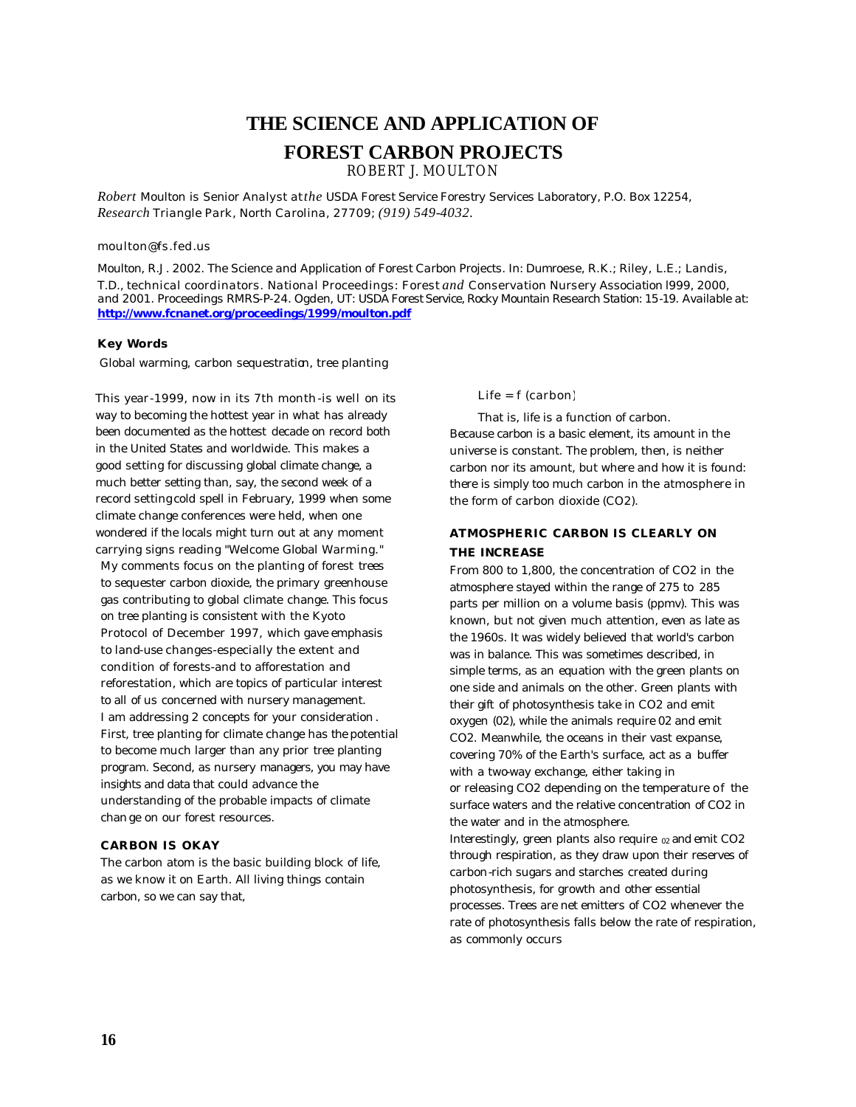# **THE SCIENCE AND APPLICATION OF**

# **FOREST CARBON PROJECTS**

ROBERT J. MOULTON

*Robert Moulton is Senior Analyst at the USDA Forest Service Forestry Services Laboratory, P.O. Box 12254, Research Triangle Park, North Carolina, 27709; (919) 549-4032.*

#### *moulton@fs.fed.us*

*Moulton, R.J. 2002. The Science and Application of Forest Carbon Projects. In: Dumroese, R.K.; Riley, L.E.; Landis, T.D., technical coordinators. National Proceedings: Forest and Conservation Nursery Association 1999, 2000, and 2001. Proceedings RMRS-P-24. Ogden, UT: USDA Forest Service, Rocky Mountain Research Station: 15-19. Available at: http://www.fcnanet.org/proceedings/1999/moulton.pdf*

#### **Key Words**

Global warming, carbon sequestration, tree planting

This year-1999, now in its 7th month-is well on its way to becoming the hottest year in what has already been documented as the hottest decade on record both in the United States and worldwide. This makes a good setting for discussing global climate change, a much better setting than, say, the second week of a record setting cold spell in February, 1999 when some climate change conferences were held, when one wondered if the locals might turn out at any moment carrying signs reading "Welcome Global Warming." My comments focus on the planting of forest trees to sequester carbon dioxide, the primary greenhouse gas contributing to global climate change. This focus on tree planting is consistent with the Kyoto Protocol of December 1997, which gave emphasis to land-use changes-especially the extent and condition of forests-and to afforestation and reforestation, which are topics of particular interest to all of us concerned with nursery management. I am addressing 2 concepts for your consideration. First, tree planting for climate change has the potential to become much larger than any prior tree planting program. Second, as nursery managers, you may have insights and data that could advance the understanding of the probable impacts of climate change on our forest resources.

#### **CARBON IS OKAY**

The carbon atom is the basic building block of life, as we know it on Earth. All living things contain carbon, so we can say that,

Life = f (carbon)

That is, life is a function of carbon. Because carbon is a basic element, its amount in the universe is constant. The problem, then, is neither carbon nor its amount, but where and how it is found: there is simply too much carbon in the atmosphere in the form of carbon dioxide (CO2).

### **ATMOSPHERIC CARBON IS CLEARLY ON THE INCREASE**

From 800 to 1,800, the concentration of CO2 in the atmosphere stayed within the range of 275 to 285 parts per million on a volume basis (ppmv). This was known, but not given much attention, even as late as the 1960s. It was widely believed that world's carbon was in balance. This was sometimes described, in simple terms, as an equation with the green plants on one side and animals on the other. Green plants with their gift of photosynthesis take in CO2 and emit oxygen (02), while the animals require 02 and emit CO2. Meanwhile, the oceans in their vast expanse, covering 70% of the Earth's surface, act as a buffer with a two-way exchange, either taking in or releasing CO2 depending on the temperature of the surface waters and the relative concentration of CO2 in the water and in the atmosphere.

Interestingly, green plants also require  $_{02}$  and emit CO2 through respiration, as they draw upon their reserves of carbon-rich sugars and starches created during photosynthesis, for growth and other essential processes. Trees are net emitters of CO2 whenever the rate of photosynthesis falls below the rate of respiration, as commonly occurs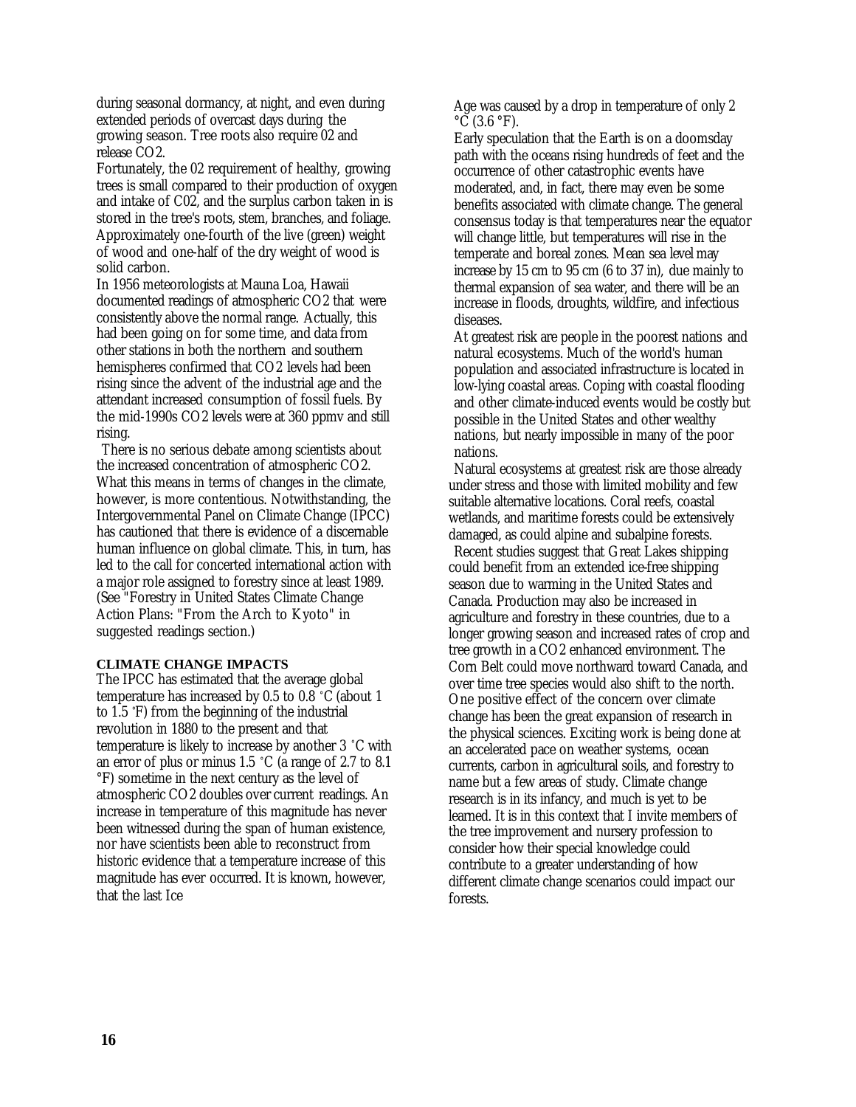during seasonal dormancy, at night, and even during extended periods of overcast days during the growing season. Tree roots also require 02 and release CO2.

Fortunately, the 02 requirement of healthy, growing trees is small compared to their production of oxygen and intake of C02, and the surplus carbon taken in is stored in the tree's roots, stem, branches, and foliage. Approximately one-fourth of the live (green) weight of wood and one-half of the dry weight of wood is solid carbon.

In 1956 meteorologists at Mauna Loa, Hawaii documented readings of atmospheric CO2 that were consistently above the normal range. Actually, this had been going on for some time, and data from other stations in both the northern and southern hemispheres confirmed that CO2 levels had been rising since the advent of the industrial age and the attendant increased consumption of fossil fuels. By the mid-1990s CO2 levels were at 360 ppmv and still rising.

There is no serious debate among scientists about the increased concentration of atmospheric CO2. What this means in terms of changes in the climate, however, is more contentious. Notwithstanding, the Intergovernmental Panel on Climate Change (IPCC) has cautioned that there is evidence of a discernable human influence on global climate. This, in turn, has led to the call for concerted international action with a major role assigned to forestry since at least 1989. (See "Forestry in United States Climate Change Action Plans: "From the Arch to Kyoto" in suggested readings section.)

#### **CLIMATE CHANGE IMPACTS**

The IPCC has estimated that the average global temperature has increased by 0.5 to 0.8 °C (about 1 to 1.5 °F) from the beginning of the industrial revolution in 1880 to the present and that temperature is likely to increase by another 3 °C with an error of plus or minus 1.5 °C (a range of 2.7 to 8.1 °F) sometime in the next century as the level of atmospheric CO2 doubles over current readings. An increase in temperature of this magnitude has never been witnessed during the span of human existence, nor have scientists been able to reconstruct from historic evidence that a temperature increase of this magnitude has ever occurred. It is known, however, that the last Ice

Age was caused by a drop in temperature of only 2  $\rm ^{\circ}\rm \bar{C}$  (3.6  $\rm ^{\circ}\rm \bar{F}$ ).

Early speculation that the Earth is on a doomsday path with the oceans rising hundreds of feet and the occurrence of other catastrophic events have moderated, and, in fact, there may even be some benefits associated with climate change. The general consensus today is that temperatures near the equator will change little, but temperatures will rise in the temperate and boreal zones. Mean sea level may increase by 15 cm to 95 cm (6 to 37 in), due mainly to thermal expansion of sea water, and there will be an increase in floods, droughts, wildfire, and infectious diseases.

At greatest risk are people in the poorest nations and natural ecosystems. Much of the world's human population and associated infrastructure is located in low-lying coastal areas. Coping with coastal flooding and other climate-induced events would be costly but possible in the United States and other wealthy nations, but nearly impossible in many of the poor nations.

Natural ecosystems at greatest risk are those already under stress and those with limited mobility and few suitable alternative locations. Coral reefs, coastal wetlands, and maritime forests could be extensively damaged, as could alpine and subalpine forests.

Recent studies suggest that Great Lakes shipping could benefit from an extended ice-free shipping season due to warming in the United States and Canada. Production may also be increased in agriculture and forestry in these countries, due to a longer growing season and increased rates of crop and tree growth in a CO2 enhanced environment. The Corn Belt could move northward toward Canada, and over time tree species would also shift to the north. One positive effect of the concern over climate change has been the great expansion of research in the physical sciences. Exciting work is being done at an accelerated pace on weather systems, ocean currents, carbon in agricultural soils, and forestry to name but a few areas of study. Climate change research is in its infancy, and much is yet to be learned. It is in this context that I invite members of the tree improvement and nursery profession to consider how their special knowledge could contribute to a greater understanding of how different climate change scenarios could impact our forests.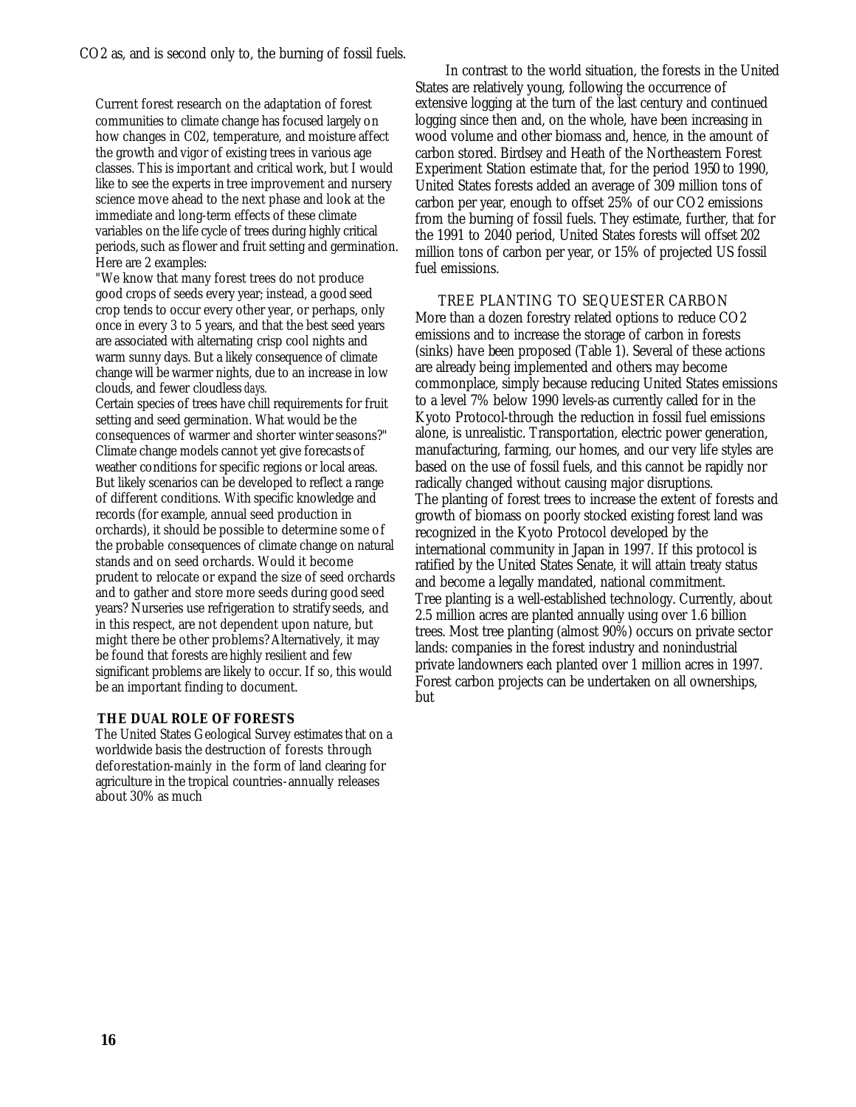CO2 as, and is second only to, the burning of fossil fuels.

Current forest research on the adaptation of forest communities to climate change has focused largely on how changes in C02, temperature, and moisture affect the growth and vigor of existing trees in various age classes. This is important and critical work, but I would like to see the experts in tree improvement and nursery science move ahead to the next phase and look at the immediate and long-term effects of these climate variables on the life cycle of trees during highly critical periods, such as flower and fruit setting and germination. Here are 2 examples:

"We know that many forest trees do not produce good crops of seeds every year; instead, a good seed crop tends to occur every other year, or perhaps, only once in every 3 to 5 years, and that the best seed years are associated with alternating crisp cool nights and warm sunny days. But a likely consequence of climate change will be warmer nights, due to an increase in low clouds, and fewer cloudless *days.*

Certain species of trees have chill requirements for fruit setting and seed germination. What would be the consequences of warmer and shorter winter seasons?" Climate change models cannot yet give forecasts of weather conditions for specific regions or local areas. But likely scenarios can be developed to reflect a range of different conditions. With specific knowledge and records (for example, annual seed production in orchards), it should be possible to determine some of the probable consequences of climate change on natural stands and on seed orchards. Would it become prudent to relocate or expand the size of seed orchards and to gather and store more seeds during good seed years? Nurseries use refrigeration to stratify seeds, and in this respect, are not dependent upon nature, but might there be other problems? Alternatively, it may be found that forests are highly resilient and few significant problems are likely to occur. If so, this would be an important finding to document.

### **THE DUAL ROLE OF FORESTS**

The United States Geological Survey estimates that on a worldwide basis the destruction of forests through deforestation-mainly in the form of land clearing for agriculture in the tropical countries-annually releases about 30% as much

 In contrast to the world situation, the forests in the United States are relatively young, following the occurrence of extensive logging at the turn of the last century and continued logging since then and, on the whole, have been increasing in wood volume and other biomass and, hence, in the amount of carbon stored. Birdsey and Heath of the Northeastern Forest Experiment Station estimate that, for the period 1950 to 1990, United States forests added an average of 309 million tons of carbon per year, enough to offset 25% of our CO2 emissions from the burning of fossil fuels. They estimate, further, that for the 1991 to 2040 period, United States forests will offset 202 million tons of carbon per year, or 15% of projected US fossil fuel emissions.

 TREE PLANTING TO SEQUESTER CARBON More than a dozen forestry related options to reduce CO2 emissions and to increase the storage of carbon in forests (sinks) have been proposed (Table 1). Several of these actions are already being implemented and others may become commonplace, simply because reducing United States emissions to a level 7% below 1990 levels-as currently called for in the Kyoto Protocol-through the reduction in fossil fuel emissions alone, is unrealistic. Transportation, electric power generation, manufacturing, farming, our homes, and our very life styles are based on the use of fossil fuels, and this cannot be rapidly nor radically changed without causing major disruptions. The planting of forest trees to increase the extent of forests and growth of biomass on poorly stocked existing forest land was recognized in the Kyoto Protocol developed by the international community in Japan in 1997. If this protocol is ratified by the United States Senate, it will attain treaty status and become a legally mandated, national commitment. Tree planting is a well-established technology. Currently, about 2.5 million acres are planted annually using over 1.6 billion trees. Most tree planting (almost 90%) occurs on private sector lands: companies in the forest industry and nonindustrial private landowners each planted over 1 million acres in 1997. Forest carbon projects can be undertaken on all ownerships, but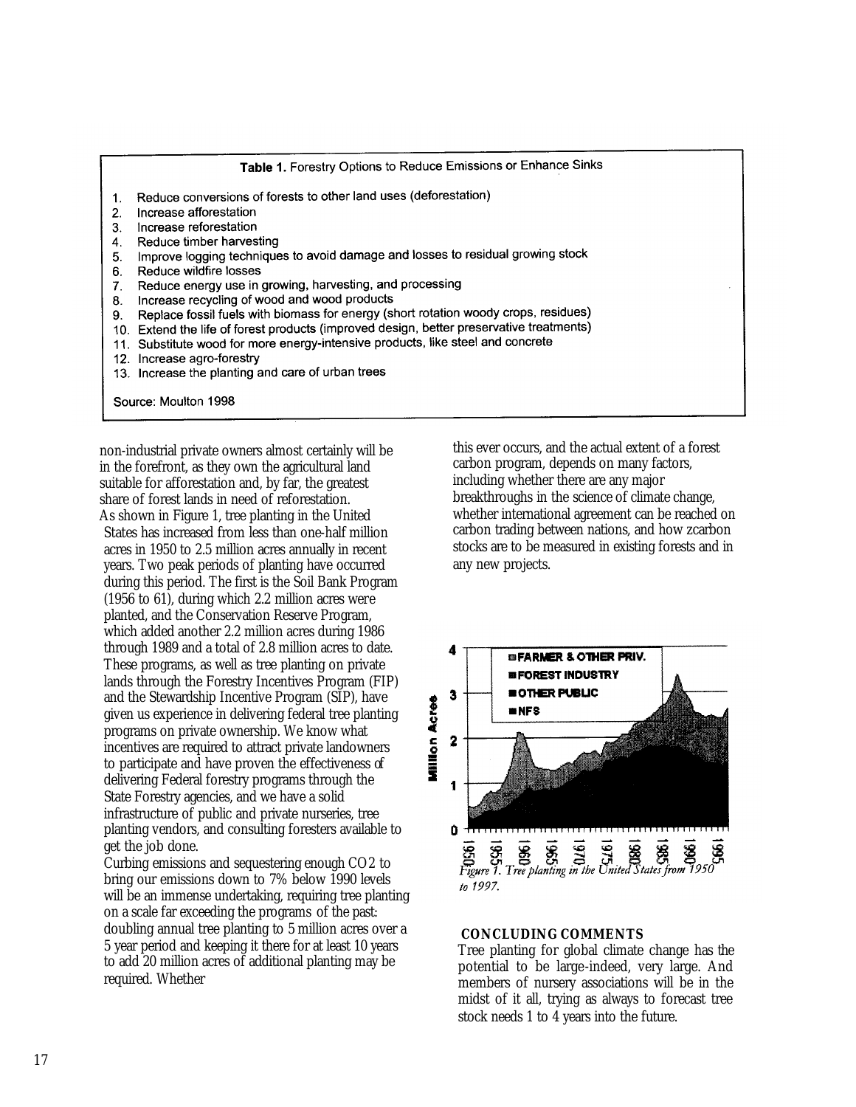Table 1. Forestry Options to Reduce Emissions or Enhance Sinks

- Reduce conversions of forests to other land uses (deforestation)  $1.$
- Increase afforestation  $2.$
- Increase reforestation 3.
- Reduce timber harvesting  $4.$
- Improve logging techniques to avoid damage and losses to residual growing stock  $5.$
- Reduce wildfire losses 6.
- Reduce energy use in growing, harvesting, and processing  $7<sub>1</sub>$
- Increase recycling of wood and wood products  $\mathbf{R}$
- Replace fossil fuels with biomass for energy (short rotation woody crops, residues)  $\mathbf{q}$
- Extend the life of forest products (improved design, better preservative treatments)  $10<sup>-1</sup>$
- Substitute wood for more energy-intensive products, like steel and concrete  $11$
- 12. Increase agro-forestry
- 13. Increase the planting and care of urban trees

Source: Moulton 1998

non-industrial private owners almost certainly will be in the forefront, as they own the agricultural land suitable for afforestation and, by far, the greatest share of forest lands in need of reforestation. As shown in Figure 1, tree planting in the United States has increased from less than one-half million acres in 1950 to 2.5 million acres annually in recent years. Two peak periods of planting have occurred during this period. The first is the Soil Bank Program (1956 to 61), during which 2.2 million acres were planted, and the Conservation Reserve Program, which added another 2.2 million acres during 1986 through 1989 and a total of 2.8 million acres to date. These programs, as well as tree planting on private lands through the Forestry Incentives Program (FIP) and the Stewardship Incentive Program (SIP), have given us experience in delivering federal tree planting programs on private ownership. We know what incentives are required to attract private landowners to participate and have proven the effectiveness of delivering Federal forestry programs through the State Forestry agencies, and we have a solid infrastructure of public and private nurseries, tree planting vendors, and consulting foresters available to get the job done.

Curbing emissions and sequestering enough CO2 to bring our emissions down to 7% below 1990 levels will be an immense undertaking, requiring tree planting on a scale far exceeding the programs of the past: doubling annual tree planting to 5 million acres over a 5 year period and keeping it there for at least 10 years to add 20 million acres of additional planting may be required. Whether

this ever occurs, and the actual extent of a forest carbon program, depends on many factors, including whether there are any major breakthroughs in the science of climate change, whether international agreement can be reached on carbon trading between nations, and how zcarbon stocks are to be measured in existing forests and in any new projects.



### **CONCLUDING COMMENTS**

Tree planting for global climate change has the potential to be large-indeed, very large. And members of nursery associations will be in the midst of it all, trying as always to forecast tree stock needs 1 to 4 years into the future.